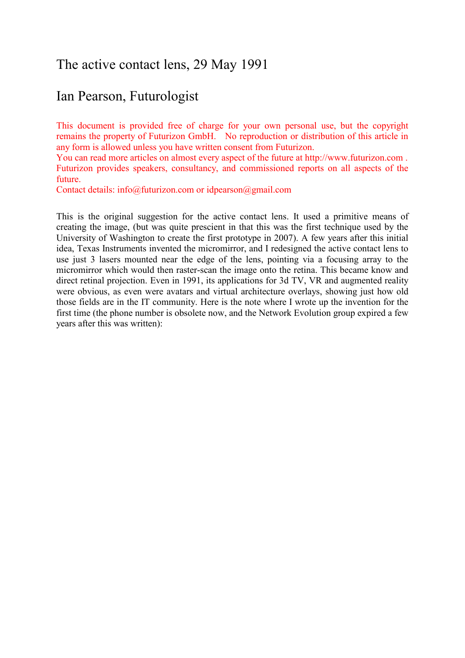## The active contact lens, 29 May 1991

# Ian Pearson, Futurologist

This document is provided free of charge for your own personal use, but the copyright remains the property of Futurizon GmbH. No reproduction or distribution of this article in any form is allowed unless you have written consent from Futurizon.

You can read more articles on almost every aspect of the future at http://www.futurizon.com . Futurizon provides speakers, consultancy, and commissioned reports on all aspects of the future.

Contact details: info@futurizon.com or idpearson@gmail.com

This is the original suggestion for the active contact lens. It used a primitive means of creating the image, (but was quite prescient in that this was the first technique used by the University of Washington to create the first prototype in 2007). A few years after this initial idea, Texas Instruments invented the micromirror, and I redesigned the active contact lens to use just 3 lasers mounted near the edge of the lens, pointing via a focusing array to the micromirror which would then raster-scan the image onto the retina. This became know and direct retinal projection. Even in 1991, its applications for 3d TV, VR and augmented reality were obvious, as even were avatars and virtual architecture overlays, showing just how old those fields are in the IT community. Here is the note where I wrote up the invention for the first time (the phone number is obsolete now, and the Network Evolution group expired a few years after this was written):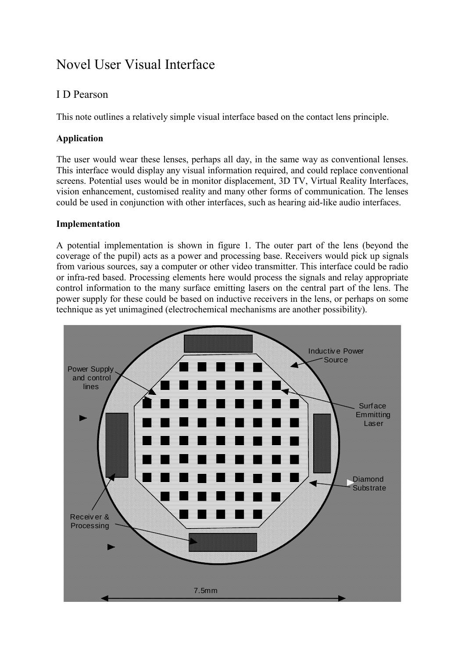# Novel User Visual Interface

## I D Pearson

This note outlines a relatively simple visual interface based on the contact lens principle.

### **Application**

The user would wear these lenses, perhaps all day, in the same way as conventional lenses. This interface would display any visual information required, and could replace conventional screens. Potential uses would be in monitor displacement, 3D TV, Virtual Reality Interfaces, vision enhancement, customised reality and many other forms of communication. The lenses could be used in conjunction with other interfaces, such as hearing aid-like audio interfaces.

#### **Implementation**

A potential implementation is shown in figure 1. The outer part of the lens (beyond the coverage of the pupil) acts as a power and processing base. Receivers would pick up signals from various sources, say a computer or other video transmitter. This interface could be radio or infra-red based. Processing elements here would process the signals and relay appropriate control information to the many surface emitting lasers on the central part of the lens. The power supply for these could be based on inductive receivers in the lens, or perhaps on some technique as yet unimagined (electrochemical mechanisms are another possibility).

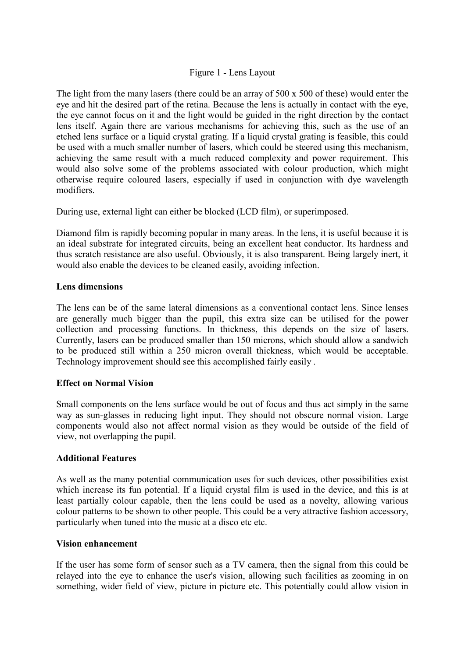#### Figure 1 - Lens Layout

The light from the many lasers (there could be an array of 500 x 500 of these) would enter the eye and hit the desired part of the retina. Because the lens is actually in contact with the eye, the eye cannot focus on it and the light would be guided in the right direction by the contact lens itself. Again there are various mechanisms for achieving this, such as the use of an etched lens surface or a liquid crystal grating. If a liquid crystal grating is feasible, this could be used with a much smaller number of lasers, which could be steered using this mechanism, achieving the same result with a much reduced complexity and power requirement. This would also solve some of the problems associated with colour production, which might otherwise require coloured lasers, especially if used in conjunction with dye wavelength modifiers.

During use, external light can either be blocked (LCD film), or superimposed.

Diamond film is rapidly becoming popular in many areas. In the lens, it is useful because it is an ideal substrate for integrated circuits, being an excellent heat conductor. Its hardness and thus scratch resistance are also useful. Obviously, it is also transparent. Being largely inert, it would also enable the devices to be cleaned easily, avoiding infection.

#### **Lens dimensions**

The lens can be of the same lateral dimensions as a conventional contact lens. Since lenses are generally much bigger than the pupil, this extra size can be utilised for the power collection and processing functions. In thickness, this depends on the size of lasers. Currently, lasers can be produced smaller than 150 microns, which should allow a sandwich to be produced still within a 250 micron overall thickness, which would be acceptable. Technology improvement should see this accomplished fairly easily .

#### **Effect on Normal Vision**

Small components on the lens surface would be out of focus and thus act simply in the same way as sun-glasses in reducing light input. They should not obscure normal vision. Large components would also not affect normal vision as they would be outside of the field of view, not overlapping the pupil.

#### **Additional Features**

As well as the many potential communication uses for such devices, other possibilities exist which increase its fun potential. If a liquid crystal film is used in the device, and this is at least partially colour capable, then the lens could be used as a novelty, allowing various colour patterns to be shown to other people. This could be a very attractive fashion accessory, particularly when tuned into the music at a disco etc etc.

#### **Vision enhancement**

If the user has some form of sensor such as a TV camera, then the signal from this could be relayed into the eye to enhance the user's vision, allowing such facilities as zooming in on something, wider field of view, picture in picture etc. This potentially could allow vision in